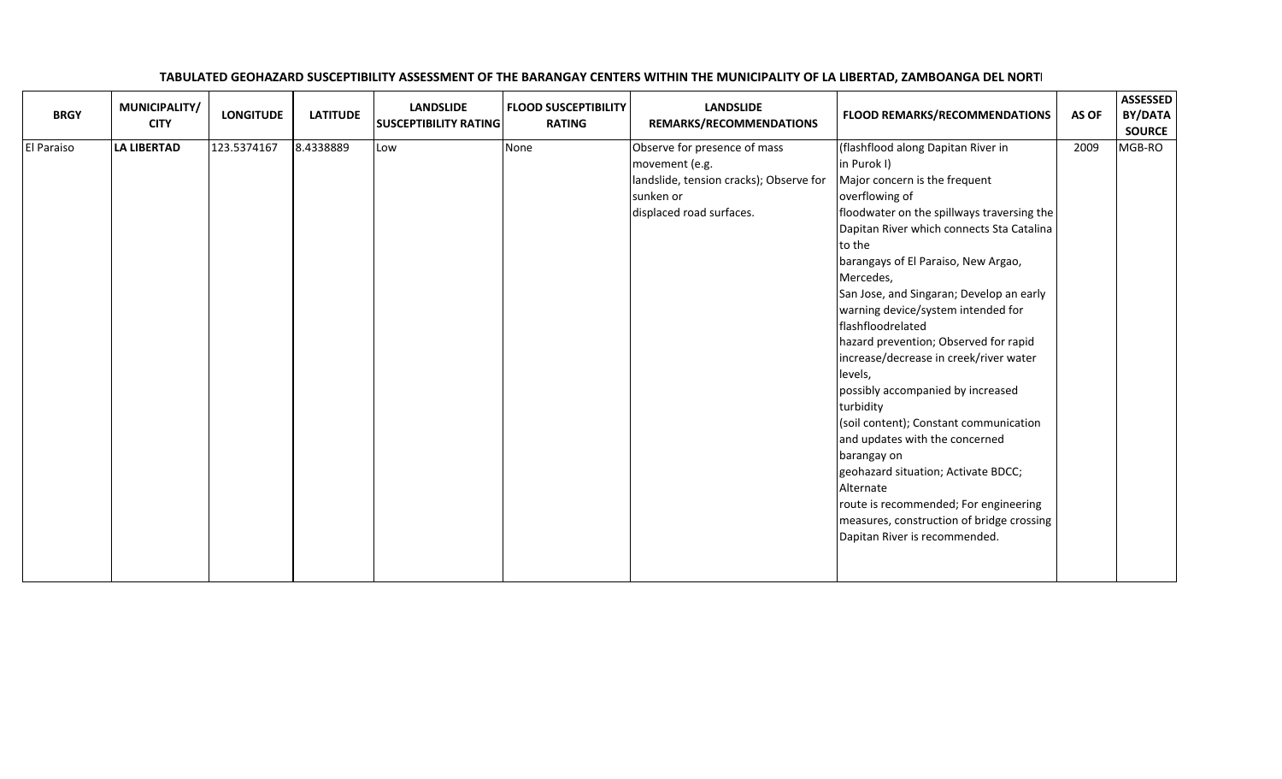## **BRGY** MUNICIPALITY/ LONGITUDE LATITUDE SUSCEPTIBILITY RATING FLOOD SUSCEPTIBILITY **REMARKS/RECOMMENDATIONS** FLOOD REMARKS/RECOMMENDATIONS AS OF BY/DATA SOURCE <sup>2009</sup> MGB-ROEl Paraiso LA LIBERTAD123.5374167 8.4338889 Low None None Observe for presence of mass movement (e.g.landslide, tension cracks); Observe for sunken or displaced road surfaces.(flashflood along Dapitan River inin Purok I) Major concern is the frequent overflowing of floodwater on the spillways traversing the Dapitan River which connects Sta Catalina to the barangays of El Paraiso, New Argao, Mercedes,San Jose, and Singaran; Develop an earlywarning device/system intended for flashfloodrelated hazard prevention; Observed for rapid increase/decrease in creek/river water levels, possibly accompanied by increased turbidity (soil content); Constant communication and updates with the concerned barangay ongeohazard situation; Activate BDCC;

Alternate

 route is recommended; For engineeringmeasures, construction of bridge crossing

Dapitan River is recommended.

## TABULATED GEOHAZARD SUSCEPTIBILITY ASSESSMENT OF THE BARANGAY CENTERS WITHIN THE MUNICIPALITY OF LA LIBERTAD, ZAMBOANGA DEL NORTE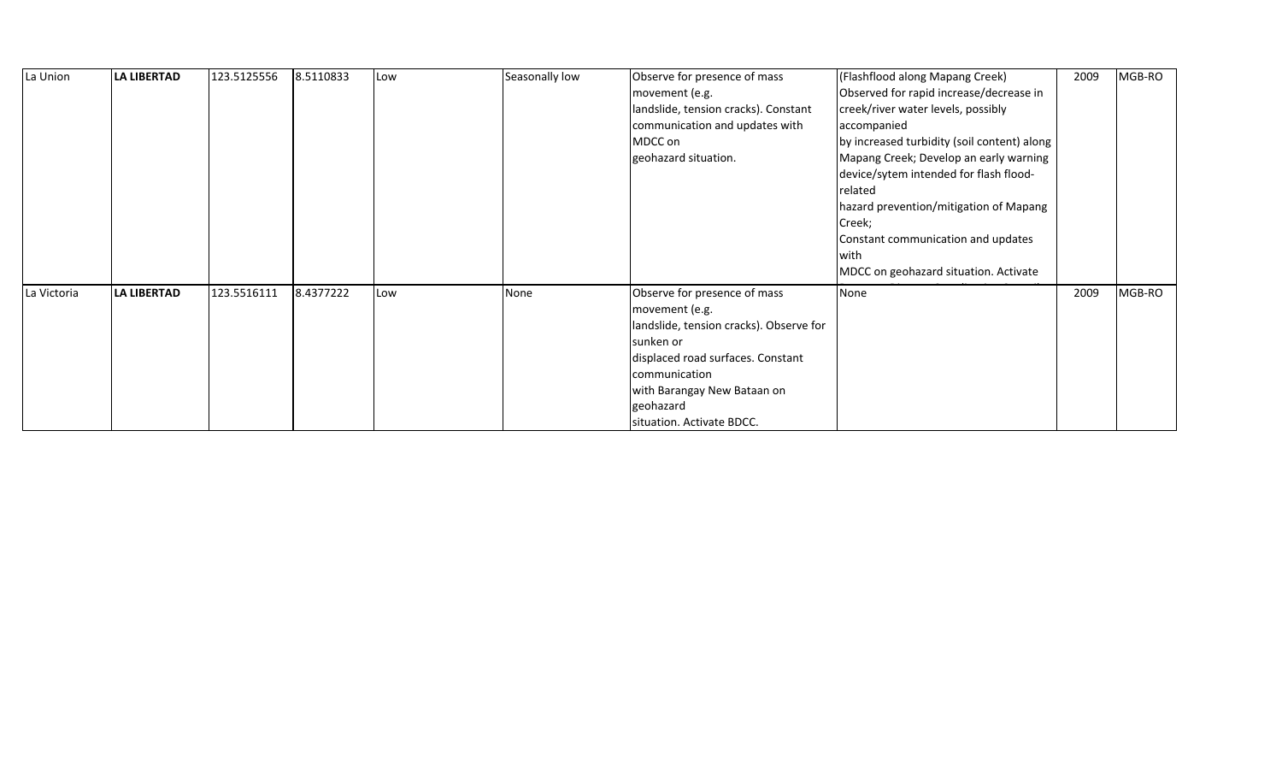| La Union    | <b>LA LIBERTAD</b> | 123.5125556 | 8.5110833 | Low | Seasonally low | Observe for presence of mass<br>movement (e.g.<br>landslide, tension cracks). Constant<br>communication and updates with<br>MDCC on<br>geohazard situation.                                                                           | (Flashflood along Mapang Creek)<br>Observed for rapid increase/decrease in<br>creek/river water levels, possibly<br>accompanied<br>by increased turbidity (soil content) along<br>Mapang Creek; Develop an early warning<br>device/sytem intended for flash flood-<br>related<br>hazard prevention/mitigation of Mapang<br>Creek;<br>Constant communication and updates<br>with<br>MDCC on geohazard situation. Activate | 2009 | MGB-RO |
|-------------|--------------------|-------------|-----------|-----|----------------|---------------------------------------------------------------------------------------------------------------------------------------------------------------------------------------------------------------------------------------|--------------------------------------------------------------------------------------------------------------------------------------------------------------------------------------------------------------------------------------------------------------------------------------------------------------------------------------------------------------------------------------------------------------------------|------|--------|
| La Victoria | <b>LA LIBERTAD</b> | 123.5516111 | 8.4377222 | Low | None           | Observe for presence of mass<br>movement (e.g.<br>landslide, tension cracks). Observe for<br>sunken or<br>displaced road surfaces. Constant<br>communication<br>with Barangay New Bataan on<br>geohazard<br>situation. Activate BDCC. | None                                                                                                                                                                                                                                                                                                                                                                                                                     | 2009 | MGB-RO |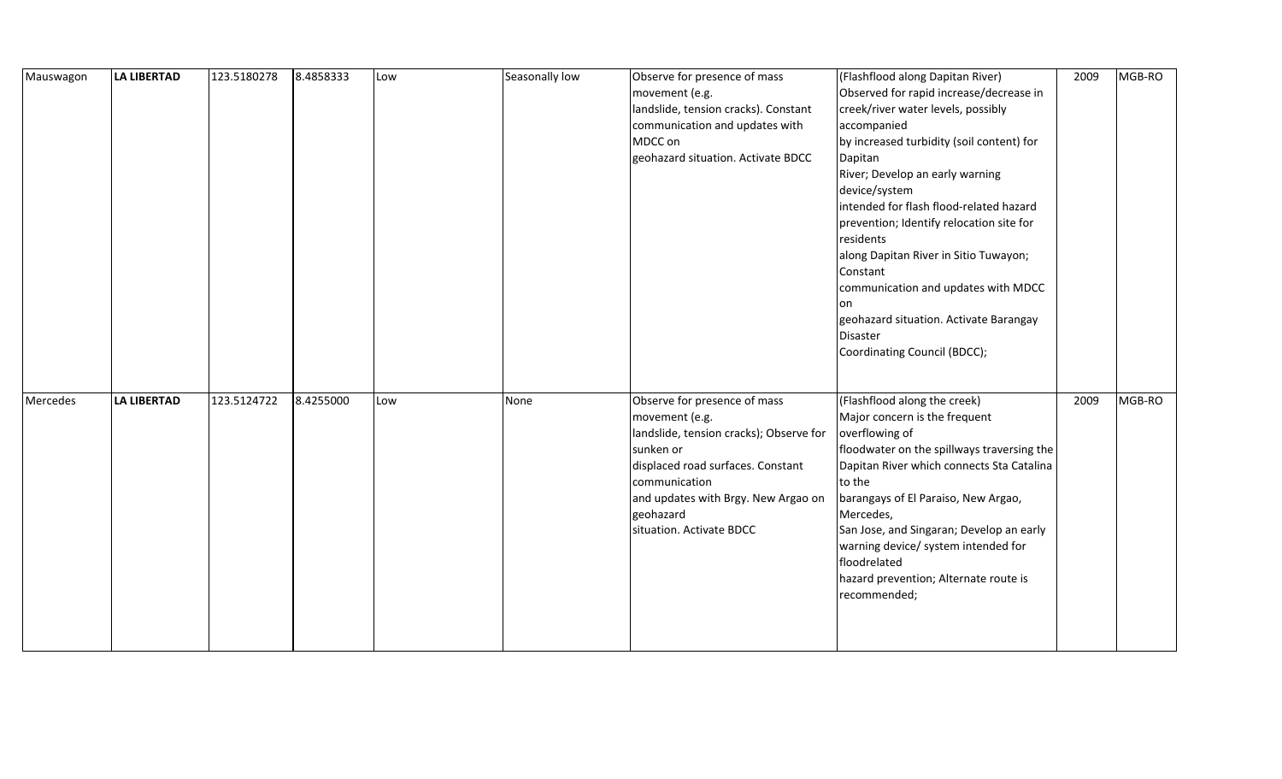| Mauswagon | LA LIBERTAD        | 123.5180278 | 8.4858333 | Low | Seasonally low | Observe for presence of mass<br>movement (e.g.<br>landslide, tension cracks). Constant<br>communication and updates with<br>MDCC on<br>geohazard situation. Activate BDCC                                                                    | (Flashflood along Dapitan River)<br>Observed for rapid increase/decrease in<br>creek/river water levels, possibly<br>accompanied<br>by increased turbidity (soil content) for<br>Dapitan<br>River; Develop an early warning<br>device/system<br>intended for flash flood-related hazard<br>prevention; Identify relocation site for<br>residents<br>along Dapitan River in Sitio Tuwayon;<br>Constant<br>communication and updates with MDCC<br>on<br>geohazard situation. Activate Barangay<br>Disaster<br>Coordinating Council (BDCC); | 2009 | MGB-RO |
|-----------|--------------------|-------------|-----------|-----|----------------|----------------------------------------------------------------------------------------------------------------------------------------------------------------------------------------------------------------------------------------------|------------------------------------------------------------------------------------------------------------------------------------------------------------------------------------------------------------------------------------------------------------------------------------------------------------------------------------------------------------------------------------------------------------------------------------------------------------------------------------------------------------------------------------------|------|--------|
| Mercedes  | <b>LA LIBERTAD</b> | 123.5124722 | 8.4255000 | Low | None           | Observe for presence of mass<br>movement (e.g.<br>landslide, tension cracks); Observe for<br>sunken or<br>displaced road surfaces. Constant<br>communication<br>and updates with Brgy. New Argao on<br>geohazard<br>situation. Activate BDCC | (Flashflood along the creek)<br>Major concern is the frequent<br>overflowing of<br>floodwater on the spillways traversing the<br>Dapitan River which connects Sta Catalina<br>to the<br>barangays of El Paraiso, New Argao,<br>Mercedes,<br>San Jose, and Singaran; Develop an early<br>warning device/ system intended for<br>floodrelated<br>hazard prevention; Alternate route is<br>recommended;                                                                                                                                     | 2009 | MGB-RO |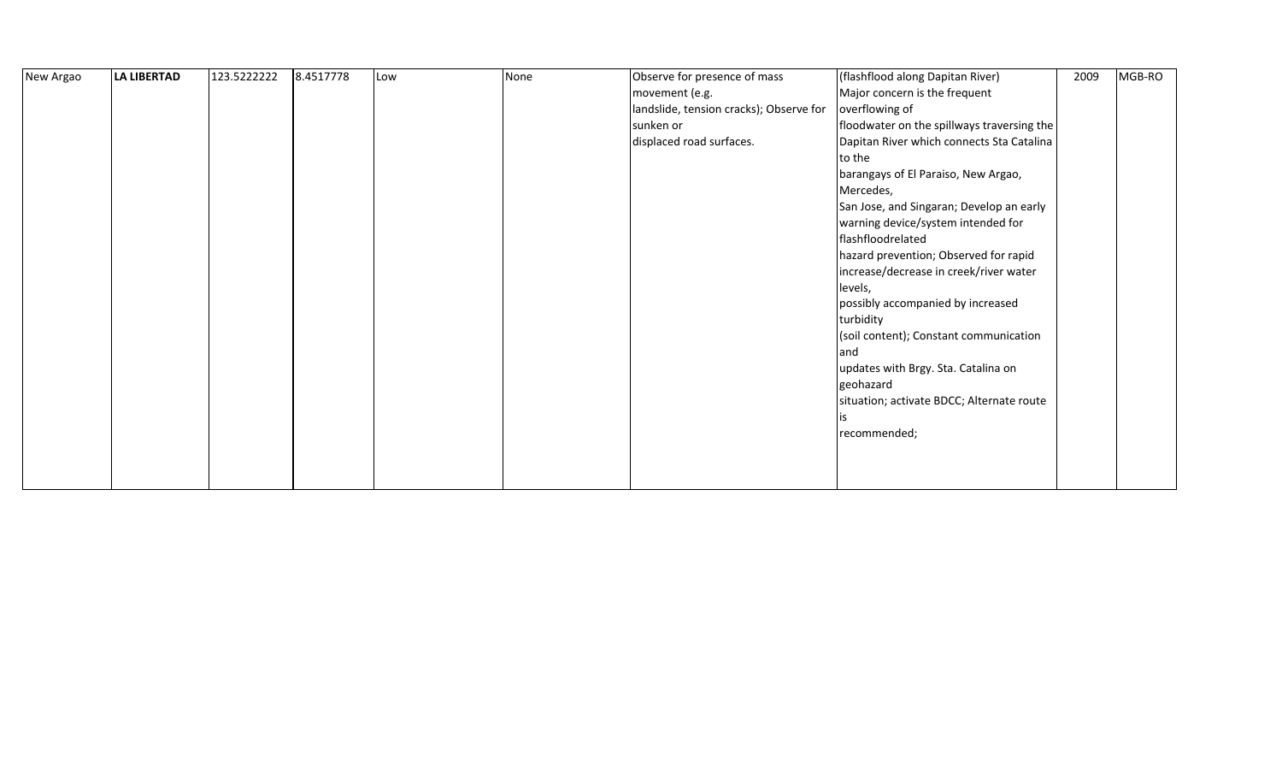| New Argao | LA LIBERTAD | 123.5222222 | 8.4517778 | Low | None | Observe for presence of mass            | (flashflood along Dapitan River)           | 2009 | MGB-RO |  |
|-----------|-------------|-------------|-----------|-----|------|-----------------------------------------|--------------------------------------------|------|--------|--|
|           |             |             |           |     |      | movement (e.g.                          | Major concern is the frequent              |      |        |  |
|           |             |             |           |     |      | landslide, tension cracks); Observe for | overflowing of                             |      |        |  |
|           |             |             |           |     |      | sunken or                               | floodwater on the spillways traversing the |      |        |  |
|           |             |             |           |     |      | displaced road surfaces.                | Dapitan River which connects Sta Catalina  |      |        |  |
|           |             |             |           |     |      |                                         | to the                                     |      |        |  |
|           |             |             |           |     |      |                                         | barangays of El Paraiso, New Argao,        |      |        |  |
|           |             |             |           |     |      |                                         | Mercedes,                                  |      |        |  |
|           |             |             |           |     |      |                                         | San Jose, and Singaran; Develop an early   |      |        |  |
|           |             |             |           |     |      |                                         | warning device/system intended for         |      |        |  |
|           |             |             |           |     |      |                                         | flashfloodrelated                          |      |        |  |
|           |             |             |           |     |      |                                         | hazard prevention; Observed for rapid      |      |        |  |
|           |             |             |           |     |      |                                         | increase/decrease in creek/river water     |      |        |  |
|           |             |             |           |     |      |                                         | levels,                                    |      |        |  |
|           |             |             |           |     |      |                                         | possibly accompanied by increased          |      |        |  |
|           |             |             |           |     |      |                                         | turbidity                                  |      |        |  |
|           |             |             |           |     |      |                                         | (soil content); Constant communication     |      |        |  |
|           |             |             |           |     |      |                                         | and                                        |      |        |  |
|           |             |             |           |     |      |                                         | updates with Brgy. Sta. Catalina on        |      |        |  |
|           |             |             |           |     |      |                                         | geohazard                                  |      |        |  |
|           |             |             |           |     |      |                                         | situation; activate BDCC; Alternate route  |      |        |  |
|           |             |             |           |     |      |                                         |                                            |      |        |  |
|           |             |             |           |     |      |                                         | recommended;                               |      |        |  |
|           |             |             |           |     |      |                                         |                                            |      |        |  |
|           |             |             |           |     |      |                                         |                                            |      |        |  |
|           |             |             |           |     |      |                                         |                                            |      |        |  |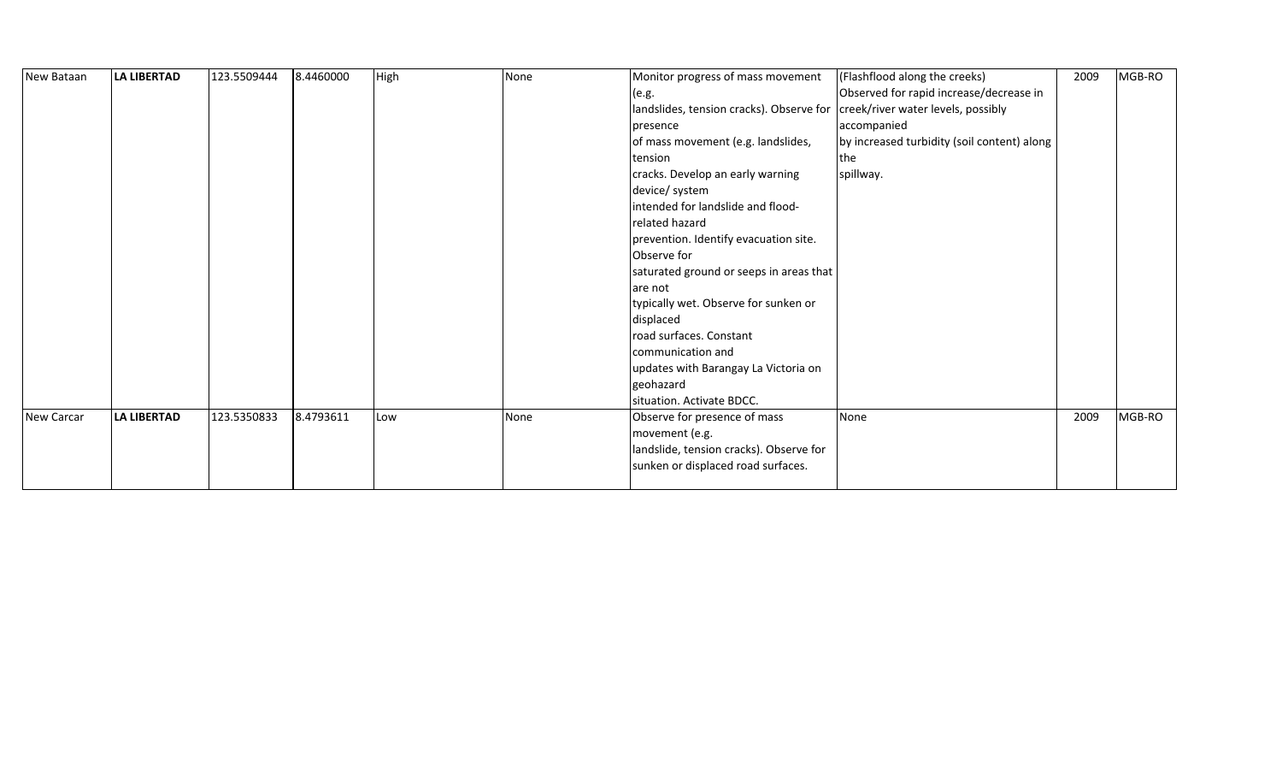| New Bataan        | <b>LA LIBERTAD</b> | 123.5509444 | 8.4460000 | High | None | Monitor progress of mass movement                                           | (Flashflood along the creeks)               | 2009 | MGB-RO |
|-------------------|--------------------|-------------|-----------|------|------|-----------------------------------------------------------------------------|---------------------------------------------|------|--------|
|                   |                    |             |           |      |      | (e.g.                                                                       | Observed for rapid increase/decrease in     |      |        |
|                   |                    |             |           |      |      | landslides, tension cracks). Observe for creek/river water levels, possibly |                                             |      |        |
|                   |                    |             |           |      |      | presence                                                                    | accompanied                                 |      |        |
|                   |                    |             |           |      |      | of mass movement (e.g. landslides,                                          | by increased turbidity (soil content) along |      |        |
|                   |                    |             |           |      |      | tension                                                                     | the                                         |      |        |
|                   |                    |             |           |      |      | cracks. Develop an early warning                                            | spillway.                                   |      |        |
|                   |                    |             |           |      |      | device/ system                                                              |                                             |      |        |
|                   |                    |             |           |      |      | intended for landslide and flood-                                           |                                             |      |        |
|                   |                    |             |           |      |      | related hazard                                                              |                                             |      |        |
|                   |                    |             |           |      |      | prevention. Identify evacuation site.                                       |                                             |      |        |
|                   |                    |             |           |      |      | Observe for                                                                 |                                             |      |        |
|                   |                    |             |           |      |      | saturated ground or seeps in areas that                                     |                                             |      |        |
|                   |                    |             |           |      |      | are not                                                                     |                                             |      |        |
|                   |                    |             |           |      |      | typically wet. Observe for sunken or                                        |                                             |      |        |
|                   |                    |             |           |      |      | displaced                                                                   |                                             |      |        |
|                   |                    |             |           |      |      | road surfaces. Constant                                                     |                                             |      |        |
|                   |                    |             |           |      |      | communication and                                                           |                                             |      |        |
|                   |                    |             |           |      |      | updates with Barangay La Victoria on                                        |                                             |      |        |
|                   |                    |             |           |      |      | geohazard                                                                   |                                             |      |        |
|                   |                    |             |           |      |      | situation. Activate BDCC.                                                   |                                             |      |        |
| <b>New Carcar</b> | <b>LA LIBERTAD</b> | 123.5350833 | 8.4793611 | Low  | None | Observe for presence of mass                                                | None                                        | 2009 | MGB-RO |
|                   |                    |             |           |      |      | movement (e.g.                                                              |                                             |      |        |
|                   |                    |             |           |      |      | landslide, tension cracks). Observe for                                     |                                             |      |        |
|                   |                    |             |           |      |      | sunken or displaced road surfaces.                                          |                                             |      |        |
|                   |                    |             |           |      |      |                                                                             |                                             |      |        |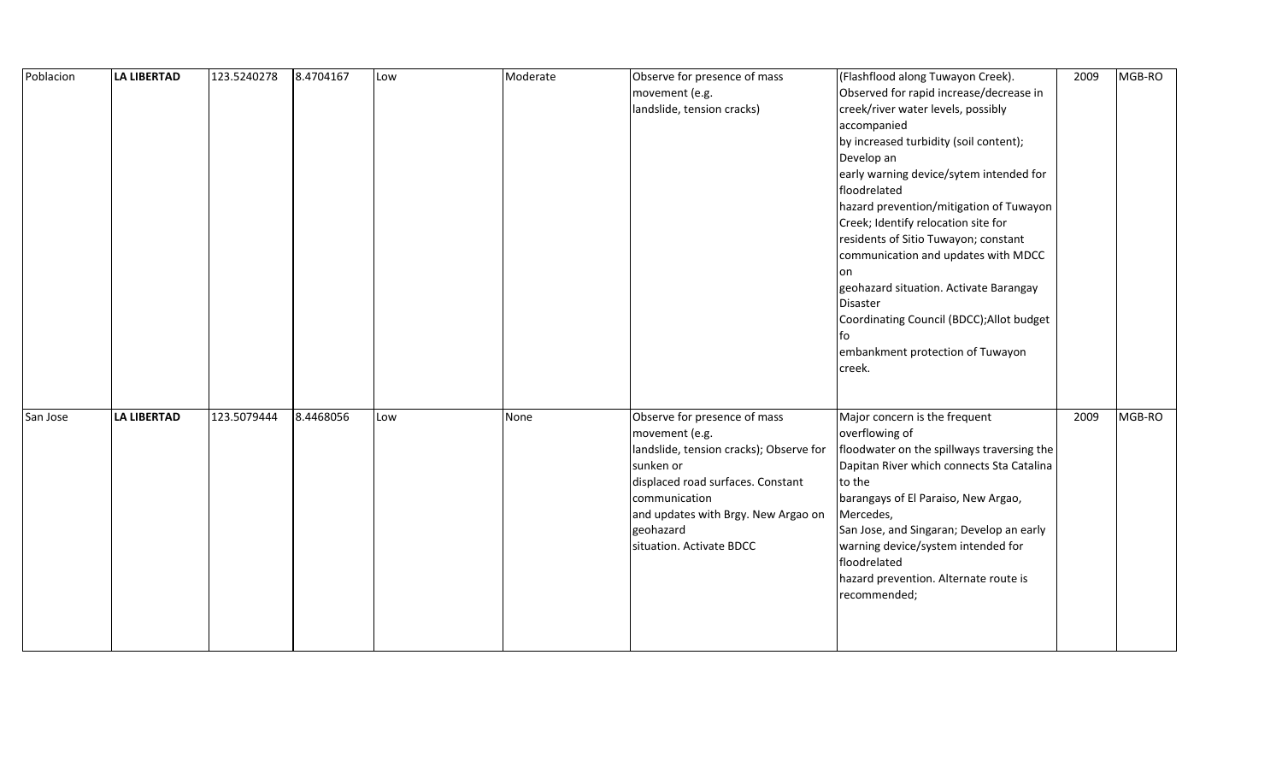| Poblacion | <b>LA LIBERTAD</b> | 123.5240278 | 8.4704167 | Low | Moderate | Observe for presence of mass            | (Flashflood along Tuwayon Creek).          | 2009 | MGB-RO |
|-----------|--------------------|-------------|-----------|-----|----------|-----------------------------------------|--------------------------------------------|------|--------|
|           |                    |             |           |     |          | movement (e.g.                          | Observed for rapid increase/decrease in    |      |        |
|           |                    |             |           |     |          | landslide, tension cracks)              | creek/river water levels, possibly         |      |        |
|           |                    |             |           |     |          |                                         | accompanied                                |      |        |
|           |                    |             |           |     |          |                                         | by increased turbidity (soil content);     |      |        |
|           |                    |             |           |     |          |                                         | Develop an                                 |      |        |
|           |                    |             |           |     |          |                                         | early warning device/sytem intended for    |      |        |
|           |                    |             |           |     |          |                                         | floodrelated                               |      |        |
|           |                    |             |           |     |          |                                         | hazard prevention/mitigation of Tuwayon    |      |        |
|           |                    |             |           |     |          |                                         | Creek; Identify relocation site for        |      |        |
|           |                    |             |           |     |          |                                         | residents of Sitio Tuwayon; constant       |      |        |
|           |                    |             |           |     |          |                                         | communication and updates with MDCC        |      |        |
|           |                    |             |           |     |          |                                         | on                                         |      |        |
|           |                    |             |           |     |          |                                         | geohazard situation. Activate Barangay     |      |        |
|           |                    |             |           |     |          |                                         | Disaster                                   |      |        |
|           |                    |             |           |     |          |                                         | Coordinating Council (BDCC); Allot budget  |      |        |
|           |                    |             |           |     |          |                                         | fo                                         |      |        |
|           |                    |             |           |     |          |                                         | embankment protection of Tuwayon           |      |        |
|           |                    |             |           |     |          |                                         | creek.                                     |      |        |
|           |                    |             |           |     |          |                                         |                                            |      |        |
|           |                    |             |           |     |          |                                         |                                            |      |        |
| San Jose  | <b>LA LIBERTAD</b> | 123.5079444 | 8.4468056 | Low | None     | Observe for presence of mass            | Major concern is the frequent              | 2009 | MGB-RO |
|           |                    |             |           |     |          | movement (e.g.                          | overflowing of                             |      |        |
|           |                    |             |           |     |          | landslide, tension cracks); Observe for | floodwater on the spillways traversing the |      |        |
|           |                    |             |           |     |          | sunken or                               | Dapitan River which connects Sta Catalina  |      |        |
|           |                    |             |           |     |          | displaced road surfaces. Constant       | to the                                     |      |        |
|           |                    |             |           |     |          | communication                           | barangays of El Paraiso, New Argao,        |      |        |
|           |                    |             |           |     |          | and updates with Brgy. New Argao on     | Mercedes,                                  |      |        |
|           |                    |             |           |     |          | geohazard                               | San Jose, and Singaran; Develop an early   |      |        |
|           |                    |             |           |     |          | situation. Activate BDCC                | warning device/system intended for         |      |        |
|           |                    |             |           |     |          |                                         | floodrelated                               |      |        |
|           |                    |             |           |     |          |                                         | hazard prevention. Alternate route is      |      |        |
|           |                    |             |           |     |          |                                         | recommended;                               |      |        |
|           |                    |             |           |     |          |                                         |                                            |      |        |
|           |                    |             |           |     |          |                                         |                                            |      |        |
|           |                    |             |           |     |          |                                         |                                            |      |        |